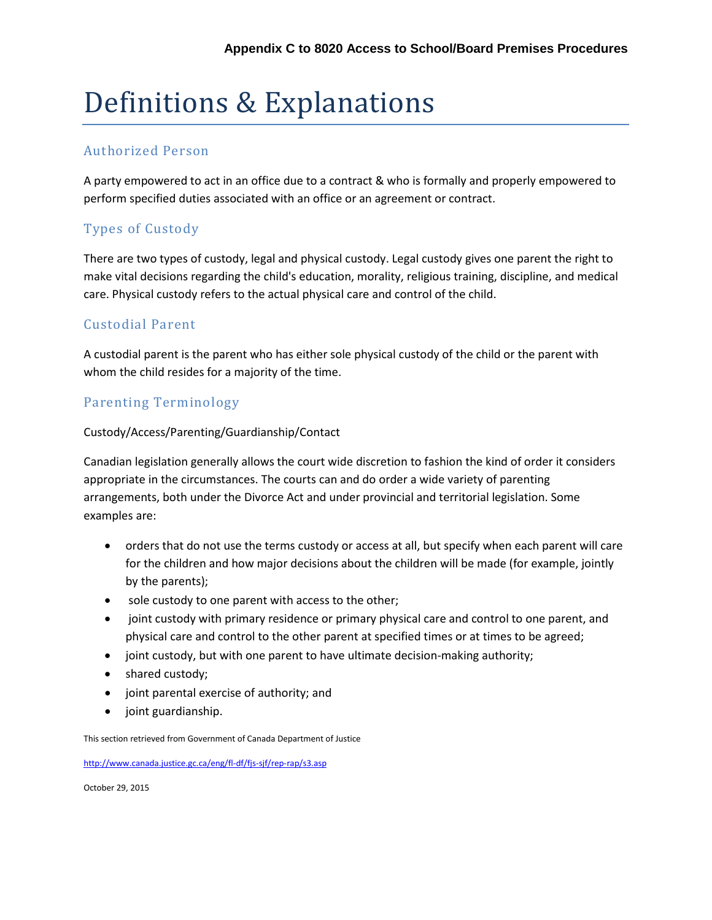# Definitions & Explanations

#### Authorized Person

A party empowered to act in an office due to a contract & who is formally and properly empowered to perform specified duties associated with an office or an agreement or contract.

# Types of Custody

There are two types of custody, legal and physical custody. Legal custody gives one parent the right to make vital decisions regarding the child's education, morality, religious training, discipline, and medical care. Physical custody refers to the actual physical care and control of the child.

## Custodial Parent

A custodial parent is the parent who has either sole physical custody of the child or the parent with whom the child resides for a majority of the time.

## Parenting Terminology

#### Custody/Access/Parenting/Guardianship/Contact

Canadian legislation generally allows the court wide discretion to fashion the kind of order it considers appropriate in the circumstances. The courts can and do order a wide variety of parenting arrangements, both under the Divorce Act and under provincial and territorial legislation. Some examples are:

- orders that do not use the terms custody or access at all, but specify when each parent will care for the children and how major decisions about the children will be made (for example, jointly by the parents);
- sole custody to one parent with access to the other;
- joint custody with primary residence or primary physical care and control to one parent, and physical care and control to the other parent at specified times or at times to be agreed;
- joint custody, but with one parent to have ultimate decision-making authority;
- shared custody;
- joint parental exercise of authority; and
- joint guardianship.

This section retrieved from Government of Canada Department of Justice

<http://www.canada.justice.gc.ca/eng/fl-df/fjs-sjf/rep-rap/s3.asp>

October 29, 2015